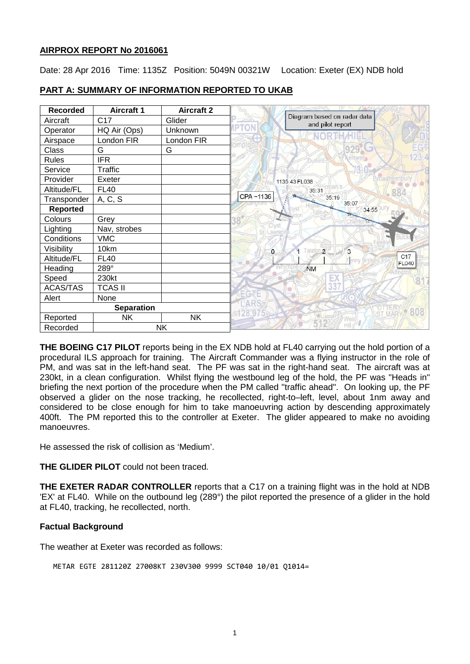### **AIRPROX REPORT No 2016061**

Date: 28 Apr 2016 Time: 1135Z Position: 5049N 00321W Location: Exeter (EX) NDB hold

| <b>Recorded</b>       | <b>Aircraft 1</b> | <b>Aircraft 2</b> |                                                 |
|-----------------------|-------------------|-------------------|-------------------------------------------------|
| Aircraft              | C <sub>17</sub>   | Glider            | Diagram based on radar data<br>and pilot report |
| Operator              | HQ Air (Ops)      | Unknown           |                                                 |
| Airspace              | London FIR        | London FIR        |                                                 |
| Class                 | G                 | G                 |                                                 |
| <b>Rules</b>          | <b>IFR</b>        |                   |                                                 |
| Service               | <b>Traffic</b>    |                   |                                                 |
| Provider              | Exeter            |                   | 1135:43 FL038                                   |
| Altitude/FL           | <b>FL40</b>       |                   | 35:31                                           |
| Transponder           | A, C, S           |                   | CPA~1136<br>35:19<br>35:07                      |
| <b>Reported</b>       |                   |                   | 34:55                                           |
| Colours               | Grey              |                   |                                                 |
| Lighting              | Nav, strobes      |                   |                                                 |
| Conditions            | <b>VMC</b>        |                   |                                                 |
| Visibility            | 10km              |                   | alaton <sub>2</sub><br>3<br>$\circ$             |
| Altitude/FL           | <b>FL40</b>       |                   | C17<br>FL040                                    |
| Heading               | 289°              |                   | <b>NM</b>                                       |
| Speed                 | 230kt             |                   | E)                                              |
| <b>ACAS/TAS</b>       | <b>TCAS II</b>    |                   |                                                 |
| Alert                 | None              |                   | EGTE                                            |
| <b>Separation</b>     |                   |                   |                                                 |
| Reported              | <b>NK</b>         | <b>NK</b>         |                                                 |
| <b>NK</b><br>Recorded |                   |                   |                                                 |

### **PART A: SUMMARY OF INFORMATION REPORTED TO UKAB**

**THE BOEING C17 PILOT** reports being in the EX NDB hold at FL40 carrying out the hold portion of a procedural ILS approach for training. The Aircraft Commander was a flying instructor in the role of PM, and was sat in the left-hand seat. The PF was sat in the right-hand seat. The aircraft was at 230kt, in a clean configuration. Whilst flying the westbound leg of the hold, the PF was "Heads in" briefing the next portion of the procedure when the PM called "traffic ahead". On looking up, the PF observed a glider on the nose tracking, he recollected, right-to–left, level, about 1nm away and considered to be close enough for him to take manoeuvring action by descending approximately 400ft. The PM reported this to the controller at Exeter. The glider appeared to make no avoiding manoeuvres.

He assessed the risk of collision as 'Medium'.

**THE GLIDER PILOT** could not been traced.

**THE EXETER RADAR CONTROLLER** reports that a C17 on a training flight was in the hold at NDB 'EX' at FL40. While on the outbound leg (289°) the pilot reported the presence of a glider in the hold at FL40, tracking, he recollected, north.

### **Factual Background**

The weather at Exeter was recorded as follows:

METAR EGTE 281120Z 27008KT 230V300 9999 SCT040 10/01 Q1014=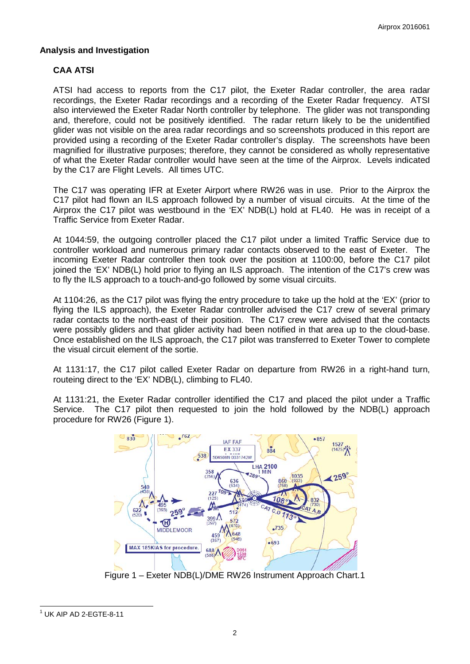### **Analysis and Investigation**

## **CAA ATSI**

ATSI had access to reports from the C17 pilot, the Exeter Radar controller, the area radar recordings, the Exeter Radar recordings and a recording of the Exeter Radar frequency. ATSI also interviewed the Exeter Radar North controller by telephone. The glider was not transponding and, therefore, could not be positively identified. The radar return likely to be the unidentified glider was not visible on the area radar recordings and so screenshots produced in this report are provided using a recording of the Exeter Radar controller's display. The screenshots have been magnified for illustrative purposes; therefore, they cannot be considered as wholly representative of what the Exeter Radar controller would have seen at the time of the Airprox. Levels indicated by the C17 are Flight Levels. All times UTC.

The C17 was operating IFR at Exeter Airport where RW26 was in use. Prior to the Airprox the C17 pilot had flown an ILS approach followed by a number of visual circuits. At the time of the Airprox the C17 pilot was westbound in the 'EX' NDB(L) hold at FL40. He was in receipt of a Traffic Service from Exeter Radar.

At 1044:59, the outgoing controller placed the C17 pilot under a limited Traffic Service due to controller workload and numerous primary radar contacts observed to the east of Exeter. The incoming Exeter Radar controller then took over the position at 1100:00, before the C17 pilot joined the 'EX' NDB(L) hold prior to flying an ILS approach. The intention of the C17's crew was to fly the ILS approach to a touch-and-go followed by some visual circuits.

At 1104:26, as the C17 pilot was flying the entry procedure to take up the hold at the 'EX' (prior to flying the ILS approach), the Exeter Radar controller advised the C17 crew of several primary radar contacts to the north-east of their position. The C17 crew were advised that the contacts were possibly gliders and that glider activity had been notified in that area up to the cloud-base. Once established on the ILS approach, the C17 pilot was transferred to Exeter Tower to complete the visual circuit element of the sortie.

At 1131:17, the C17 pilot called Exeter Radar on departure from RW26 in a right-hand turn, routeing direct to the 'EX' NDB(L), climbing to FL40.

At 1131:21, the Exeter Radar controller identified the C17 and placed the pilot under a Traffic Service. The C17 pilot then requested to join the hold followed by the NDB(L) approach procedure for RW26 (Figure 1).



Figure 1 – Exeter NDB(L)/DME RW26 Instrument Approach Chart[.1](#page-1-0)

<span id="page-1-0"></span> $1$  UK AIP AD 2-EGTE-8-11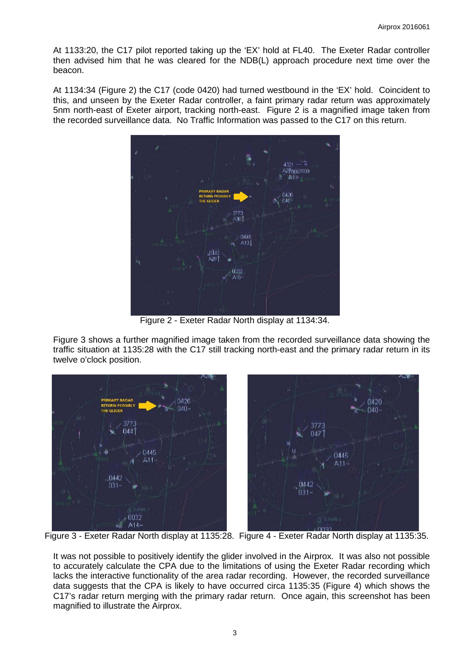At 1133:20, the C17 pilot reported taking up the 'EX' hold at FL40. The Exeter Radar controller then advised him that he was cleared for the NDB(L) approach procedure next time over the beacon.

At 1134:34 (Figure 2) the C17 (code 0420) had turned westbound in the 'EX' hold. Coincident to this, and unseen by the Exeter Radar controller, a faint primary radar return was approximately 5nm north-east of Exeter airport, tracking north-east. Figure 2 is a magnified image taken from the recorded surveillance data. No Traffic Information was passed to the C17 on this return.



Figure 2 - Exeter Radar North display at 1134:34.

Figure 3 shows a further magnified image taken from the recorded surveillance data showing the traffic situation at 1135:28 with the C17 still tracking north-east and the primary radar return in its twelve o'clock position.



It was not possible to positively identify the glider involved in the Airprox. It was also not possible to accurately calculate the CPA due to the limitations of using the Exeter Radar recording which lacks the interactive functionality of the area radar recording. However, the recorded surveillance data suggests that the CPA is likely to have occurred circa 1135:35 (Figure 4) which shows the C17's radar return merging with the primary radar return. Once again, this screenshot has been magnified to illustrate the Airprox.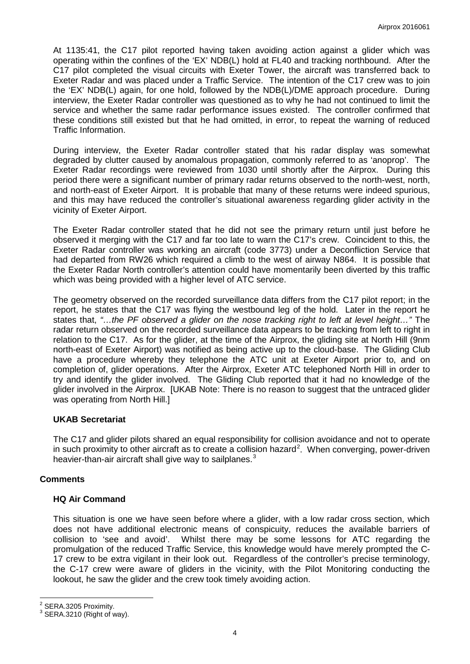At 1135:41, the C17 pilot reported having taken avoiding action against a glider which was operating within the confines of the 'EX' NDB(L) hold at FL40 and tracking northbound. After the C17 pilot completed the visual circuits with Exeter Tower, the aircraft was transferred back to Exeter Radar and was placed under a Traffic Service. The intention of the C17 crew was to join the 'EX' NDB(L) again, for one hold, followed by the NDB(L)/DME approach procedure. During interview, the Exeter Radar controller was questioned as to why he had not continued to limit the service and whether the same radar performance issues existed. The controller confirmed that these conditions still existed but that he had omitted, in error, to repeat the warning of reduced Traffic Information.

During interview, the Exeter Radar controller stated that his radar display was somewhat degraded by clutter caused by anomalous propagation, commonly referred to as 'anoprop'. The Exeter Radar recordings were reviewed from 1030 until shortly after the Airprox. During this period there were a significant number of primary radar returns observed to the north-west, north, and north-east of Exeter Airport. It is probable that many of these returns were indeed spurious, and this may have reduced the controller's situational awareness regarding glider activity in the vicinity of Exeter Airport.

The Exeter Radar controller stated that he did not see the primary return until just before he observed it merging with the C17 and far too late to warn the C17's crew. Coincident to this, the Exeter Radar controller was working an aircraft (code 3773) under a Deconfliction Service that had departed from RW26 which required a climb to the west of airway N864. It is possible that the Exeter Radar North controller's attention could have momentarily been diverted by this traffic which was being provided with a higher level of ATC service.

The geometry observed on the recorded surveillance data differs from the C17 pilot report; in the report, he states that the C17 was flying the westbound leg of the hold. Later in the report he states that, *"…the PF observed a glider on the nose tracking right to left at level height…"* The radar return observed on the recorded surveillance data appears to be tracking from left to right in relation to the C17. As for the glider, at the time of the Airprox, the gliding site at North Hill (9nm north-east of Exeter Airport) was notified as being active up to the cloud-base. The Gliding Club have a procedure whereby they telephone the ATC unit at Exeter Airport prior to, and on completion of, glider operations. After the Airprox, Exeter ATC telephoned North Hill in order to try and identify the glider involved. The Gliding Club reported that it had no knowledge of the glider involved in the Airprox. [UKAB Note: There is no reason to suggest that the untraced glider was operating from North Hill.]

#### **UKAB Secretariat**

The C17 and glider pilots shared an equal responsibility for collision avoidance and not to operate in such proximity to other aircraft as to create a collision hazard<sup>[2](#page-3-0)</sup>. When converging, power-driven heavier-than-air aircraft shall give way to sailplanes.<sup>[3](#page-3-1)</sup>

### **Comments**

### **HQ Air Command**

This situation is one we have seen before where a glider, with a low radar cross section, which does not have additional electronic means of conspicuity, reduces the available barriers of collision to 'see and avoid'. Whilst there may be some lessons for ATC regarding the promulgation of the reduced Traffic Service, this knowledge would have merely prompted the C-17 crew to be extra vigilant in their look out. Regardless of the controller's precise terminology, the C-17 crew were aware of gliders in the vicinity, with the Pilot Monitoring conducting the lookout, he saw the glider and the crew took timely avoiding action.

<span id="page-3-1"></span><span id="page-3-0"></span> $^2$  SERA.3205 Proximity.<br> $^3$  SERA.3210 (Right of way).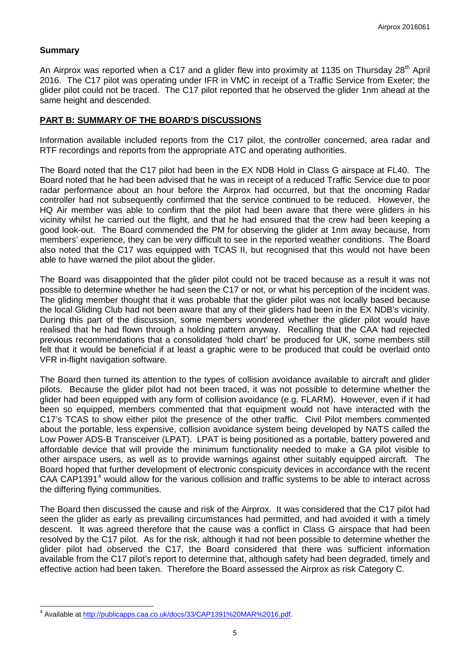### **Summary**

An Airprox was reported when a C17 and a glider flew into proximity at 1135 on Thursday 28<sup>th</sup> April 2016. The C17 pilot was operating under IFR in VMC in receipt of a Traffic Service from Exeter; the glider pilot could not be traced. The C17 pilot reported that he observed the glider 1nm ahead at the same height and descended.

#### **PART B: SUMMARY OF THE BOARD'S DISCUSSIONS**

Information available included reports from the C17 pilot, the controller concerned, area radar and RTF recordings and reports from the appropriate ATC and operating authorities.

The Board noted that the C17 pilot had been in the EX NDB Hold in Class G airspace at FL40. The Board noted that he had been advised that he was in receipt of a reduced Traffic Service due to poor radar performance about an hour before the Airprox had occurred, but that the oncoming Radar controller had not subsequently confirmed that the service continued to be reduced. However, the HQ Air member was able to confirm that the pilot had been aware that there were gliders in his vicinity whilst he carried out the flight, and that he had ensured that the crew had been keeping a good look-out. The Board commended the PM for observing the glider at 1nm away because, from members' experience, they can be very difficult to see in the reported weather conditions. The Board also noted that the C17 was equipped with TCAS II, but recognised that this would not have been able to have warned the pilot about the glider.

The Board was disappointed that the glider pilot could not be traced because as a result it was not possible to determine whether he had seen the C17 or not, or what his perception of the incident was. The gliding member thought that it was probable that the glider pilot was not locally based because the local Gliding Club had not been aware that any of their gliders had been in the EX NDB's vicinity. During this part of the discussion, some members wondered whether the glider pilot would have realised that he had flown through a holding pattern anyway. Recalling that the CAA had rejected previous recommendations that a consolidated 'hold chart' be produced for UK, some members still felt that it would be beneficial if at least a graphic were to be produced that could be overlaid onto VFR in-flight navigation software.

The Board then turned its attention to the types of collision avoidance available to aircraft and glider pilots. Because the glider pilot had not been traced, it was not possible to determine whether the glider had been equipped with any form of collision avoidance (e.g. FLARM). However, even if it had been so equipped, members commented that that equipment would not have interacted with the C17's TCAS to show either pilot the presence of the other traffic. Civil Pilot members commented about the portable, less expensive, collision avoidance system being developed by NATS called the Low Power ADS-B Transceiver (LPAT). LPAT is being positioned as a portable, battery powered and affordable device that will provide the minimum functionality needed to make a GA pilot visible to other airspace users, as well as to provide warnings against other suitably equipped aircraft. The Board hoped that further development of electronic conspicuity devices in accordance with the recent CAA CAP1391<sup>[4](#page-4-0)</sup> would allow for the various collision and traffic systems to be able to interact across the differing flying communities.

The Board then discussed the cause and risk of the Airprox. It was considered that the C17 pilot had seen the glider as early as prevailing circumstances had permitted, and had avoided it with a timely descent. It was agreed therefore that the cause was a conflict in Class G airspace that had been resolved by the C17 pilot. As for the risk, although it had not been possible to determine whether the glider pilot had observed the C17, the Board considered that there was sufficient information available from the C17 pilot's report to determine that, although safety had been degraded, timely and effective action had been taken. Therefore the Board assessed the Airprox as risk Category C.

<span id="page-4-0"></span><sup>4</sup> Available at [http://publicapps.caa.co.uk/docs/33/CAP1391%20MAR%2016.pdf.](http://publicapps.caa.co.uk/docs/33/CAP1391%20MAR%2016.pdf)